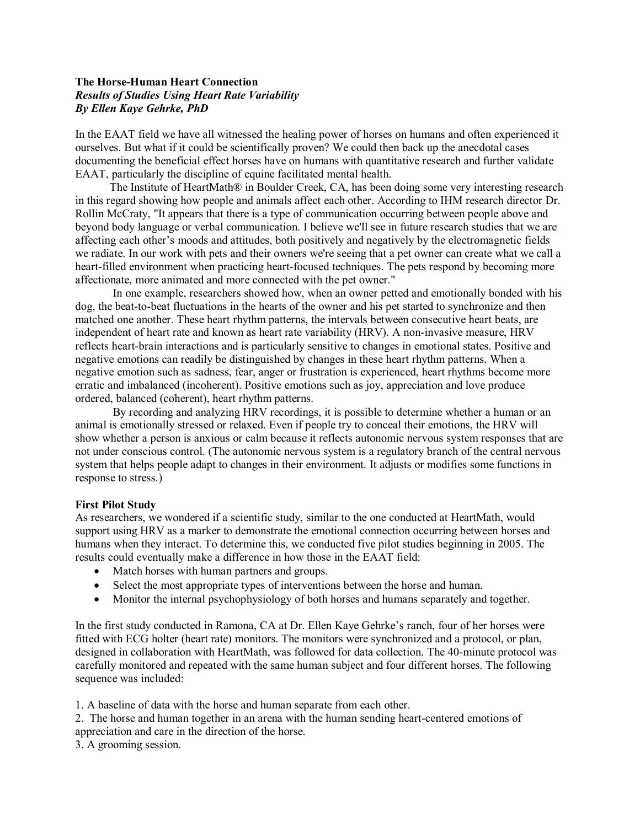# **The HorseHuman Heart Connection** *Results of Studies Using Heart Rate Variability By Ellen Kaye Gehrke, PhD*

In the EAAT field we have all witnessed the healing power of horses on humans and often experienced it ourselves. But what if it could be scientifically proven? We could then back up the anecdotal cases documenting the beneficial effect horses have on humans with quantitative research and further validate EAAT, particularly the discipline of equine facilitated mental health.

The Institute of HeartMath® in Boulder Creek, CA, has been doing some very interesting research in this regard showing how people and animals affect each other. According to IHM research director Dr. Rollin McCraty, "It appears that there is a type of communication occurring between people above and beyond body language or verbal communication. I believe we'll see in future research studies that we are affecting each other's moods and attitudes, both positively and negatively by the electromagnetic fields we radiate. In our work with pets and their owners we're seeing that a pet owner can create what we call a heart-filled environment when practicing heart-focused techniques. The pets respond by becoming more affectionate, more animated and more connected with the pet owner."

In one example, researchers showed how, when an owner petted and emotionally bonded with his dog, the beat-to-beat fluctuations in the hearts of the owner and his pet started to synchronize and then matched one another. These heart rhythm patterns, the intervals between consecutive heart beats, are independent of heart rate and known as heart rate variability (HRV). A non-invasive measure, HRV reflects heart-brain interactions and is particularly sensitive to changes in emotional states. Positive and negative emotions can readily be distinguished by changes in these heart rhythm patterns. When a negative emotion such as sadness, fear, anger or frustration is experienced, heart rhythms become more erratic and imbalanced (incoherent). Positive emotions such as joy, appreciation and love produce ordered, balanced (coherent), heart rhythm patterns.

By recording and analyzing HRV recordings, it is possible to determine whether a human or an animal is emotionally stressed or relaxed. Even if people try to conceal their emotions, the HRV will show whether a person is anxious or calm because it reflects autonomic nervous system responses that are not under conscious control. (The autonomic nervous system is a regulatory branch of the central nervous system that helps people adapt to changes in their environment. It adjusts or modifies some functions in response to stress.)

## **First Pilot Study**

As researchers, we wondered if a scientific study, similar to the one conducted at HeartMath, would support using HRV as a marker to demonstrate the emotional connection occurring between horses and humans when they interact. To determine this, we conducted five pilot studies beginning in 2005. The results could eventually make a difference in how those in the EAAT field:

- Match horses with human partners and groups.
- · Select the most appropriate types of interventions between the horse and human.
- · Monitor the internal psychophysiology of both horses and humans separately and together.

In the first study conducted in Ramona, CA at Dr. Ellen Kaye Gehrke's ranch, four of her horses were fitted with ECG holter (heart rate) monitors. The monitors were synchronized and a protocol, or plan, designed in collaboration with HeartMath, was followed for data collection. The 40-minute protocol was carefully monitored and repeated with the same human subject and four different horses. The following sequence was included:

1. A baseline of data with the horse and human separate from each other.

2. The horse and human together in an arena with the human sending heart-centered emotions of appreciation and care in the direction of the horse.

3. A grooming session.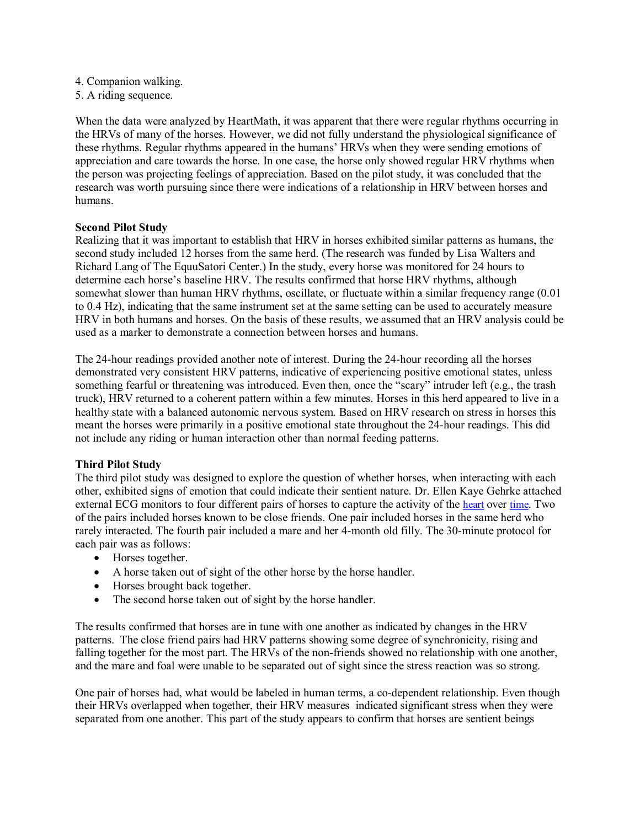- 4. Companion walking.
- 5. A riding sequence.

When the data were analyzed by HeartMath, it was apparent that there were regular rhythms occurring in the HRVs of many of the horses. However, we did not fully understand the physiological significance of these rhythms. Regular rhythms appeared in the humans' HRVs when they were sending emotions of appreciation and care towards the horse. In one case, the horse only showed regular HRV rhythms when the person was projecting feelings of appreciation. Based on the pilot study, it was concluded that the research was worth pursuing since there were indications of a relationship in HRV between horses and humans.

#### **Second Pilot Study**

Realizing that it was important to establish that HRV in horses exhibited similar patterns as humans, the second study included 12 horses from the same herd. (The research was funded by Lisa Walters and Richard Lang of The EquuSatori Center.) In the study, every horse was monitored for 24 hours to determine each horse's baseline HRV. The results confirmed that horse HRV rhythms, although somewhat slower than human HRV rhythms, oscillate, or fluctuate within a similar frequency range (0.01 to 0.4 Hz), indicating that the same instrument set at the same setting can be used to accurately measure HRV in both humans and horses. On the basis of these results, we assumed that an HRV analysis could be used as a marker to demonstrate a connection between horses and humans.

The 24-hour readings provided another note of interest. During the 24-hour recording all the horses demonstrated very consistent HRV patterns, indicative of experiencing positive emotional states, unless something fearful or threatening was introduced. Even then, once the "scary" intruder left (e.g., the trash truck), HRV returned to a coherent pattern within a few minutes. Horses in this herd appeared to live in a healthy state with a balanced autonomic nervous system. Based on HRV research on stress in horses this meant the horses were primarily in a positive emotional state throughout the 24-hour readings. This did not include any riding or human interaction other than normal feeding patterns.

## **Third Pilot Study**

The third pilot study was designed to explore the question of whether horses, when interacting with each other, exhibited signs of emotion that could indicate their sentient nature. Dr. Ellen Kaye Gehrke attached external ECG monitors to four different pairs of horses to capture the activity of the [heart](http://en.wikipedia.org/wiki/Heart) over [time](http://en.wikipedia.org/wiki/Time). Two of the pairs included horses known to be close friends. One pair included horses in the same herd who rarely interacted. The fourth pair included a mare and her 4-month old filly. The 30-minute protocol for each pair was as follows:

- Horses together.
- · A horse taken out of sight of the other horse by the horse handler.
- · Horses brought back together.
- The second horse taken out of sight by the horse handler.

The results confirmed that horses are in tune with one another as indicated by changes in the HRV patterns. The close friend pairs had HRV patterns showing some degree of synchronicity, rising and falling together for the most part. The HRVs of the non-friends showed no relationship with one another, and the mare and foal were unable to be separated out of sight since the stress reaction was so strong.

One pair of horses had, what would be labeled in human terms, a co-dependent relationship. Even though their HRVs overlapped when together, their HRV measures indicated significant stress when they were separated from one another. This part of the study appears to confirm that horses are sentient beings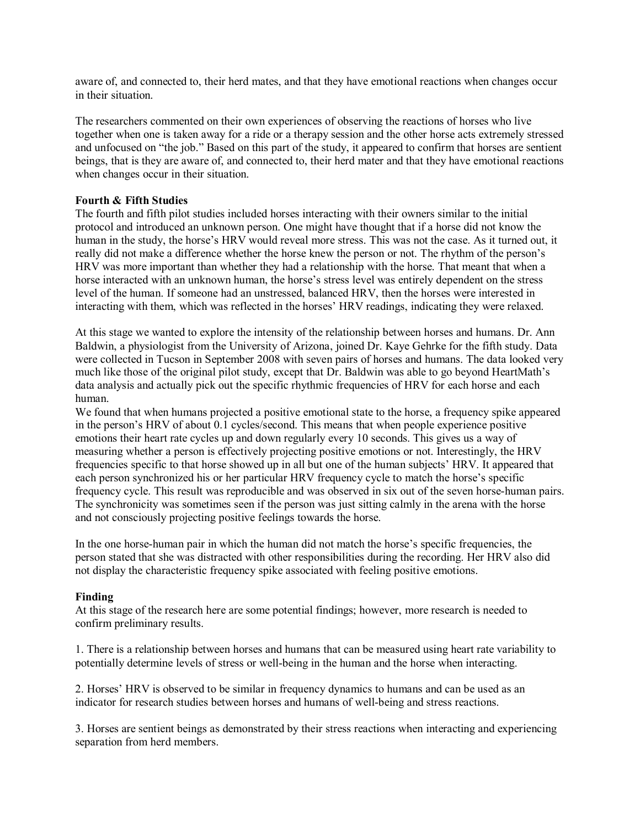aware of, and connected to, their herd mates, and that they have emotional reactions when changes occur in their situation.

The researchers commented on their own experiences of observing the reactions of horses who live together when one is taken away for a ride or a therapy session and the other horse acts extremely stressed and unfocused on "the job." Based on this part of the study, it appeared to confirm that horses are sentient beings, that is they are aware of, and connected to, their herd mater and that they have emotional reactions when changes occur in their situation.

## **Fourth & Fifth Studies**

The fourth and fifth pilot studies included horses interacting with their owners similar to the initial protocol and introduced an unknown person. One might have thought that if a horse did not know the human in the study, the horse's HRV would reveal more stress. This was not the case. As it turned out, it really did not make a difference whether the horse knew the person or not. The rhythm of the person's HRV was more important than whether they had a relationship with the horse. That meant that when a horse interacted with an unknown human, the horse's stress level was entirely dependent on the stress level of the human. If someone had an unstressed, balanced HRV, then the horses were interested in interacting with them, which was reflected in the horses' HRV readings, indicating they were relaxed.

At this stage we wanted to explore the intensity of the relationship between horses and humans. Dr. Ann Baldwin, a physiologist from the University of Arizona, joined Dr. Kaye Gehrke for the fifth study. Data were collected in Tucson in September 2008 with seven pairs of horses and humans. The data looked very much like those of the original pilot study, except that Dr. Baldwin was able to go beyond HeartMath's data analysis and actually pick out the specific rhythmic frequencies of HRV for each horse and each human.

We found that when humans projected a positive emotional state to the horse, a frequency spike appeared in the person's HRV of about 0.1 cycles/second. This means that when people experience positive emotions their heart rate cycles up and down regularly every 10 seconds. This gives us a way of measuring whether a person is effectively projecting positive emotions or not. Interestingly, the HRV frequencies specific to that horse showed up in all but one of the human subjects' HRV. It appeared that each person synchronized his or her particular HRV frequency cycle to match the horse's specific frequency cycle. This result was reproducible and was observed in six out of the seven horse-human pairs. The synchronicity was sometimes seen if the person was just sitting calmly in the arena with the horse and not consciously projecting positive feelings towards the horse.

In the one horse-human pair in which the human did not match the horse's specific frequencies, the person stated that she was distracted with other responsibilities during the recording. Her HRV also did not display the characteristic frequency spike associated with feeling positive emotions.

## **Finding**

At this stage of the research here are some potential findings; however, more research is needed to confirm preliminary results.

1. There is a relationship between horses and humans that can be measured using heart rate variability to potentially determine levels of stress or well-being in the human and the horse when interacting.

2. Horses' HRV is observed to be similar in frequency dynamics to humans and can be used as an indicator for research studies between horses and humans of well-being and stress reactions.

3. Horses are sentient beings as demonstrated by their stress reactions when interacting and experiencing separation from herd members.